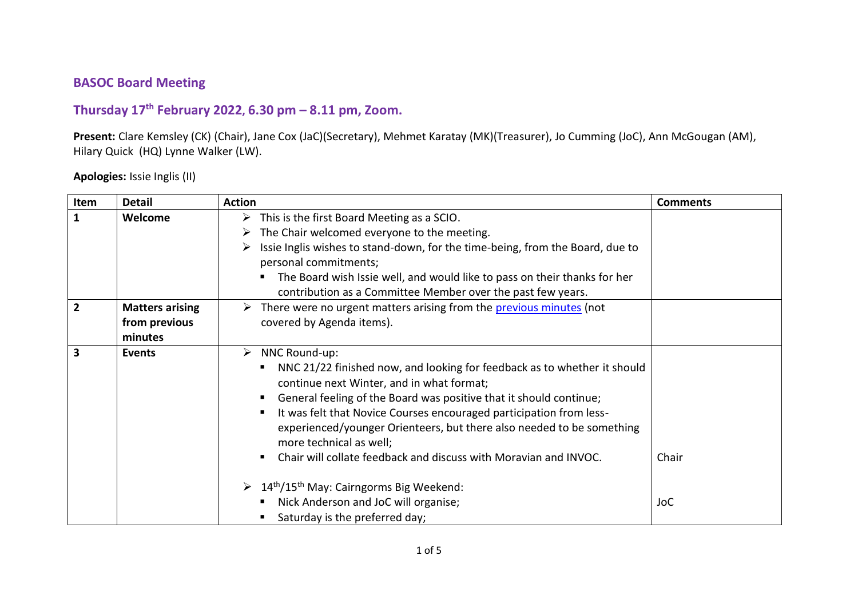## **BASOC Board Meeting**

## **Thursday 17 th February 2022, 6.30 pm – 8.11 pm, Zoom.**

**Present:** Clare Kemsley (CK) (Chair), Jane Cox (JaC)(Secretary), Mehmet Karatay (MK)(Treasurer), Jo Cumming (JoC), Ann McGougan (AM), Hilary Quick (HQ) Lynne Walker (LW).

## **Apologies:** Issie Inglis (II)

| Item           | <b>Detail</b>                                      | <b>Action</b>                                                                                                                                                                                                                                                                                                                                                                                                                                                                                                                                                                                                                    | <b>Comments</b> |
|----------------|----------------------------------------------------|----------------------------------------------------------------------------------------------------------------------------------------------------------------------------------------------------------------------------------------------------------------------------------------------------------------------------------------------------------------------------------------------------------------------------------------------------------------------------------------------------------------------------------------------------------------------------------------------------------------------------------|-----------------|
| 1              | Welcome                                            | $\triangleright$ This is the first Board Meeting as a SCIO.<br>The Chair welcomed everyone to the meeting.<br>➤<br>Issie Inglis wishes to stand-down, for the time-being, from the Board, due to<br>personal commitments;<br>The Board wish Issie well, and would like to pass on their thanks for her<br>contribution as a Committee Member over the past few years.                                                                                                                                                                                                                                                            |                 |
| $\overline{2}$ | <b>Matters arising</b><br>from previous<br>minutes | $\triangleright$ There were no urgent matters arising from the previous minutes (not<br>covered by Agenda items).                                                                                                                                                                                                                                                                                                                                                                                                                                                                                                                |                 |
| 3              | <b>Events</b>                                      | $\triangleright$ NNC Round-up:<br>NNC 21/22 finished now, and looking for feedback as to whether it should<br>$\blacksquare$<br>continue next Winter, and in what format;<br>General feeling of the Board was positive that it should continue;<br>п.<br>It was felt that Novice Courses encouraged participation from less-<br>٠<br>experienced/younger Orienteers, but there also needed to be something<br>more technical as well;<br>Chair will collate feedback and discuss with Moravian and INVOC.<br>٠<br>$\geq 14$ <sup>th</sup> /15 <sup>th</sup> May: Cairngorms Big Weekend:<br>Nick Anderson and JoC will organise; |                 |
|                |                                                    | Saturday is the preferred day;                                                                                                                                                                                                                                                                                                                                                                                                                                                                                                                                                                                                   |                 |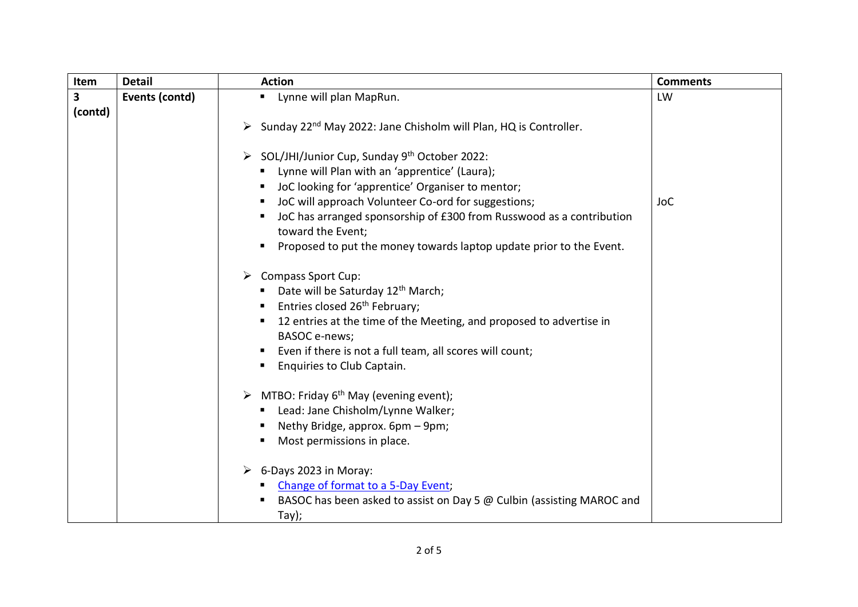| Item    | <b>Detail</b>  | <b>Action</b>                                                                             | <b>Comments</b> |
|---------|----------------|-------------------------------------------------------------------------------------------|-----------------|
| 3       | Events (contd) | " Lynne will plan MapRun.                                                                 | LW              |
| (contd) |                |                                                                                           |                 |
|         |                | Sunday 22 <sup>nd</sup> May 2022: Jane Chisholm will Plan, HQ is Controller.<br>➤         |                 |
|         |                |                                                                                           |                 |
|         |                | > SOL/JHI/Junior Cup, Sunday 9th October 2022:                                            |                 |
|         |                | Lynne will Plan with an 'apprentice' (Laura);                                             |                 |
|         |                | JoC looking for 'apprentice' Organiser to mentor;                                         |                 |
|         |                | JoC will approach Volunteer Co-ord for suggestions;                                       | <b>JoC</b>      |
|         |                | JoC has arranged sponsorship of £300 from Russwood as a contribution<br>toward the Event; |                 |
|         |                | Proposed to put the money towards laptop update prior to the Event.                       |                 |
|         |                |                                                                                           |                 |
|         |                | > Compass Sport Cup:                                                                      |                 |
|         |                | Date will be Saturday 12 <sup>th</sup> March;                                             |                 |
|         |                | Entries closed 26 <sup>th</sup> February;                                                 |                 |
|         |                | 12 entries at the time of the Meeting, and proposed to advertise in                       |                 |
|         |                | BASOC e-news;                                                                             |                 |
|         |                | Even if there is not a full team, all scores will count;                                  |                 |
|         |                | Enquiries to Club Captain.                                                                |                 |
|         |                | $\triangleright$ MTBO: Friday 6 <sup>th</sup> May (evening event);                        |                 |
|         |                | Lead: Jane Chisholm/Lynne Walker;                                                         |                 |
|         |                | Nethy Bridge, approx. 6pm - 9pm;                                                          |                 |
|         |                | Most permissions in place.                                                                |                 |
|         |                |                                                                                           |                 |
|         |                | $\triangleright$ 6-Days 2023 in Moray:                                                    |                 |
|         |                | Change of format to a 5-Day Event;                                                        |                 |
|         |                | BASOC has been asked to assist on Day 5 @ Culbin (assisting MAROC and                     |                 |
|         |                | Tay);                                                                                     |                 |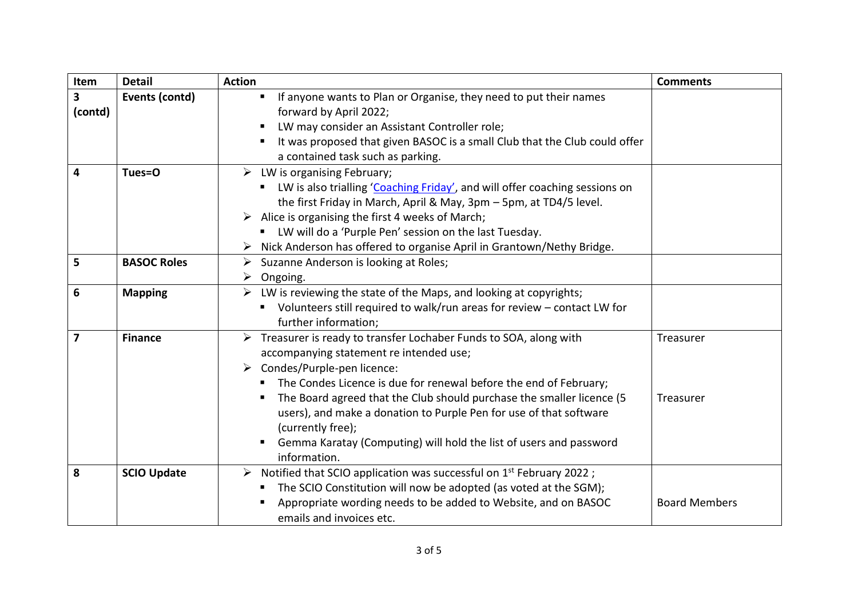| Item                    | <b>Detail</b>      | <b>Action</b>                                                                                                                                                                                                                                                                                                                                                                                                                                                                                     | <b>Comments</b>        |
|-------------------------|--------------------|---------------------------------------------------------------------------------------------------------------------------------------------------------------------------------------------------------------------------------------------------------------------------------------------------------------------------------------------------------------------------------------------------------------------------------------------------------------------------------------------------|------------------------|
| 3<br>(contd)            | Events (contd)     | If anyone wants to Plan or Organise, they need to put their names<br>$\blacksquare$<br>forward by April 2022;<br>LW may consider an Assistant Controller role;                                                                                                                                                                                                                                                                                                                                    |                        |
|                         |                    | It was proposed that given BASOC is a small Club that the Club could offer<br>п<br>a contained task such as parking.                                                                                                                                                                                                                                                                                                                                                                              |                        |
| 4                       | Tues=0             | $\triangleright$ LW is organising February;<br>LW is also trialling 'Coaching Friday', and will offer coaching sessions on<br>the first Friday in March, April & May, 3pm - 5pm, at TD4/5 level.<br>$\triangleright$ Alice is organising the first 4 weeks of March;<br>LW will do a 'Purple Pen' session on the last Tuesday.<br>Nick Anderson has offered to organise April in Grantown/Nethy Bridge.                                                                                           |                        |
| 5                       | <b>BASOC Roles</b> | $\triangleright$ Suzanne Anderson is looking at Roles;<br>$\triangleright$ Ongoing.                                                                                                                                                                                                                                                                                                                                                                                                               |                        |
| 6                       | <b>Mapping</b>     | $\triangleright$ LW is reviewing the state of the Maps, and looking at copyrights;<br>• Volunteers still required to walk/run areas for review - contact LW for<br>further information;                                                                                                                                                                                                                                                                                                           |                        |
| $\overline{\mathbf{z}}$ | <b>Finance</b>     | > Treasurer is ready to transfer Lochaber Funds to SOA, along with<br>accompanying statement re intended use;<br>Condes/Purple-pen licence:<br>➤<br>The Condes Licence is due for renewal before the end of February;<br>$\blacksquare$<br>The Board agreed that the Club should purchase the smaller licence (5<br>users), and make a donation to Purple Pen for use of that software<br>(currently free);<br>Gemma Karatay (Computing) will hold the list of users and password<br>information. | Treasurer<br>Treasurer |
| 8                       | <b>SCIO Update</b> | $\triangleright$ Notified that SCIO application was successful on 1 <sup>st</sup> February 2022;<br>The SCIO Constitution will now be adopted (as voted at the SGM);<br>Appropriate wording needs to be added to Website, and on BASOC<br>emails and invoices etc.                                                                                                                                                                                                                                | <b>Board Members</b>   |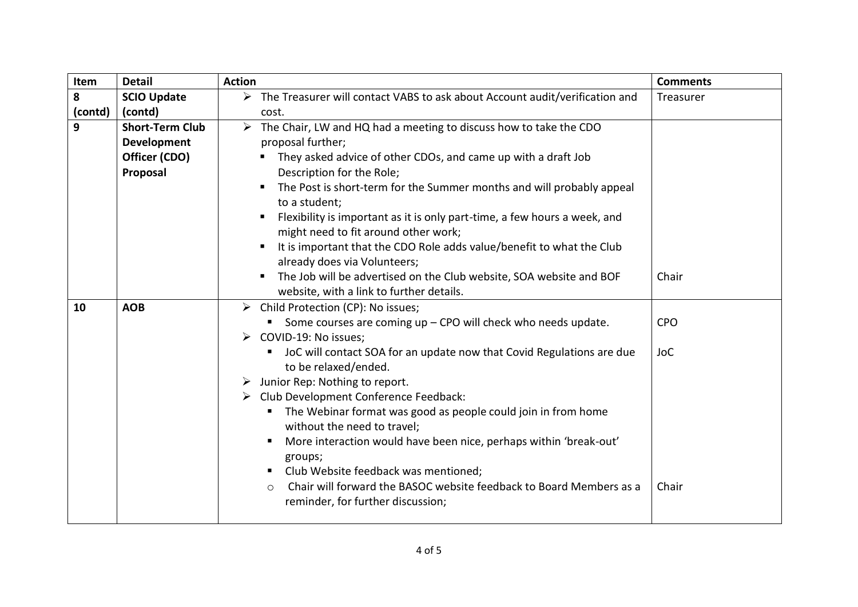| Item    | <b>Detail</b>                                                              | <b>Action</b>                                                                                                                     | <b>Comments</b> |
|---------|----------------------------------------------------------------------------|-----------------------------------------------------------------------------------------------------------------------------------|-----------------|
| 8       | <b>SCIO Update</b>                                                         | $\triangleright$ The Treasurer will contact VABS to ask about Account audit/verification and                                      | Treasurer       |
| (contd) | (contd)                                                                    | cost.                                                                                                                             |                 |
| 9       | <b>Short-Term Club</b>                                                     | The Chair, LW and HQ had a meeting to discuss how to take the CDO<br>$\blacktriangleright$                                        |                 |
|         | <b>Development</b>                                                         | proposal further;                                                                                                                 |                 |
|         | Officer (CDO)                                                              | They asked advice of other CDOs, and came up with a draft Job                                                                     |                 |
|         | Proposal                                                                   | Description for the Role;                                                                                                         |                 |
|         |                                                                            | The Post is short-term for the Summer months and will probably appeal<br>to a student;                                            |                 |
|         |                                                                            | Flexibility is important as it is only part-time, a few hours a week, and<br>might need to fit around other work;                 |                 |
|         |                                                                            | It is important that the CDO Role adds value/benefit to what the Club<br>already does via Volunteers;                             |                 |
|         |                                                                            | The Job will be advertised on the Club website, SOA website and BOF<br>$\blacksquare$<br>website, with a link to further details. | Chair           |
| 10      | <b>AOB</b>                                                                 | $\triangleright$ Child Protection (CP): No issues;                                                                                |                 |
|         |                                                                            | Some courses are coming up - CPO will check who needs update.                                                                     | <b>CPO</b>      |
|         | $\triangleright$ COVID-19: No issues;                                      |                                                                                                                                   |                 |
|         | JoC will contact SOA for an update now that Covid Regulations are due<br>п |                                                                                                                                   | <b>JoC</b>      |
|         |                                                                            | to be relaxed/ended.                                                                                                              |                 |
|         |                                                                            | Junior Rep: Nothing to report.<br>➤                                                                                               |                 |
|         |                                                                            | > Club Development Conference Feedback:                                                                                           |                 |
|         |                                                                            | The Webinar format was good as people could join in from home<br>п<br>without the need to travel;                                 |                 |
|         |                                                                            | More interaction would have been nice, perhaps within 'break-out'<br>groups;                                                      |                 |
|         |                                                                            | Club Website feedback was mentioned;<br>п.                                                                                        |                 |
|         |                                                                            | Chair will forward the BASOC website feedback to Board Members as a<br>$\circ$<br>reminder, for further discussion;               | Chair           |
|         |                                                                            |                                                                                                                                   |                 |